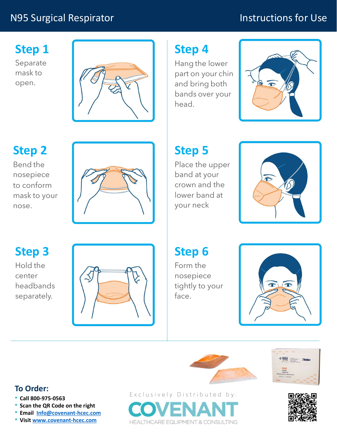### N95 Surgical Respirator

## Instructions for Use

Step 1

Separate open.



# Step 2

nosepiece nose.



# Step 4

head.



# Step 5

Place the upper band at your crown and the lower band at your neck



Step 6

Form the nosepiece tightly to your face.



# Step 3

center headbands separately.







#### To Order:

- 
- 
- Scan the QR Code on the right<br>• Email Info@covenant-hcec.com
-